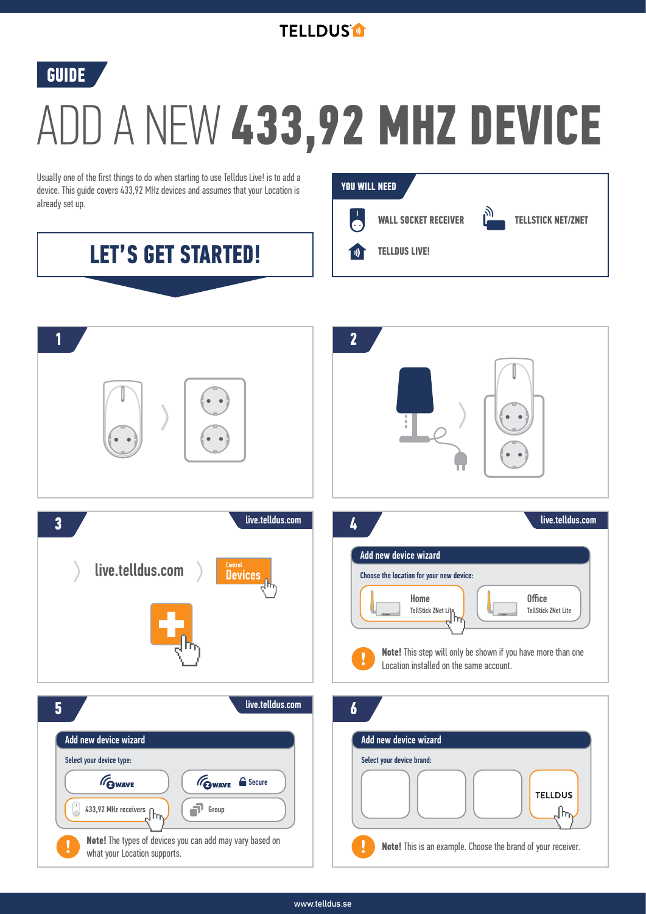



## ADD A NEW **433,92 MHZ DEVICE**

Usually one of the first things to do when starting to use Telldus Live! is to add a device. This guide covers 433,92 MHz devices and assumes that your Location is already set up.

**LET'S GET STARTED!**



## **2 1** live.telldus.com live.telldus.com **3 4** Add new device wizard live.telldus.com **Devices** Choose the location for your new device: Home<br> **TellStick ZNet Lite** TellStick ZNet Lite **Note!** This step will only be shown if you have more than one Location installed on the same account. live.telldus.com **5 6** Add new device wizard **Adderson** Adderson Controllery and Adderson Controllery and Adderson Controllery and Adderson Controllery and Adderson Controllery and Adderson Controllery and Adderson Controllery and Adderson Contr Select your device type: Select your device brand: GWAVE **GWAVE** Secure **TELLDUS** 433,92 MHz receivers  $\blacksquare$ Group վհղ **Note!** The types of devices you can add may vary based on **Note!** This is an example. Choose the brand of your receiver. what your Location supports.